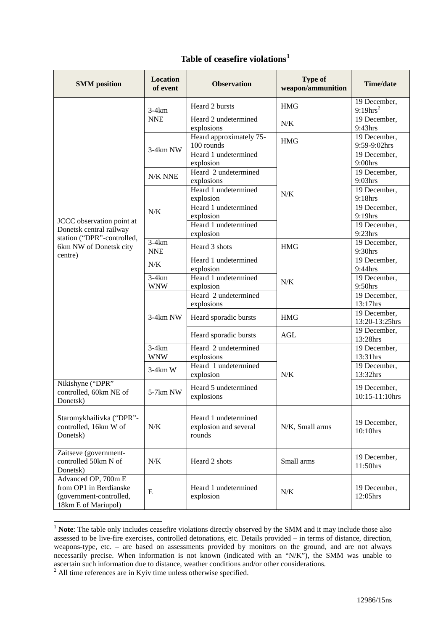| <b>SMM</b> position                                                                                                     | <b>Location</b><br>of event | <b>Observation</b>                                      | <b>Type of</b><br>weapon/ammunition | <b>Time/date</b>                     |
|-------------------------------------------------------------------------------------------------------------------------|-----------------------------|---------------------------------------------------------|-------------------------------------|--------------------------------------|
| JCCC observation point at<br>Donetsk central railway<br>station ("DPR"-controlled,<br>6km NW of Donetsk city<br>centre) | $3-4km$<br><b>NNE</b>       | Heard 2 bursts                                          | <b>HMG</b>                          | 19 December,<br>$9:19 \text{hrs}^2$  |
|                                                                                                                         |                             | Heard 2 undetermined<br>explosions                      | N/K                                 | 19 December,<br>9:43hrs              |
|                                                                                                                         | 3-4km NW                    | Heard approximately 75-<br>100 rounds                   | <b>HMG</b>                          | 19 December,<br>9:59-9:02hrs         |
|                                                                                                                         |                             | Heard 1 undetermined<br>explosion                       | N/K                                 | 19 December,<br>9:00hrs              |
|                                                                                                                         | N/K NNE                     | Heard 2 undetermined<br>explosions                      |                                     | 19 December,<br>9:03hrs              |
|                                                                                                                         | N/K                         | Heard 1 undetermined<br>explosion                       |                                     | 19 December,<br>9:18hrs              |
|                                                                                                                         |                             | Heard 1 undetermined<br>explosion                       |                                     | $\overline{19}$ December,<br>9:19hrs |
|                                                                                                                         |                             | Heard 1 undetermined<br>explosion                       |                                     | $\overline{19}$ December,<br>9:23hrs |
|                                                                                                                         | $3-4km$<br><b>NNE</b>       | Heard 3 shots                                           | HMG                                 | 19 December,<br>9:30hrs              |
|                                                                                                                         | N/K                         | Heard 1 undetermined<br>explosion                       | N/K                                 | 19 December,<br>9:44hrs              |
|                                                                                                                         | $3-4km$<br><b>WNW</b>       | Heard 1 undetermined<br>explosion                       |                                     | 19 December,<br>$9:50$ hrs           |
|                                                                                                                         | 3-4km NW                    | Heard 2 undetermined<br>explosions                      |                                     | 19 December,<br>13:17hrs             |
|                                                                                                                         |                             | Heard sporadic bursts                                   | <b>HMG</b>                          | 19 December,<br>13:20-13:25hrs       |
|                                                                                                                         |                             | Heard sporadic bursts                                   | <b>AGL</b>                          | 19 December,<br>13:28hrs             |
|                                                                                                                         | $3-4km$<br><b>WNW</b>       | Heard 2 undetermined<br>explosions                      | N/K                                 | 19 December,<br>13:31hrs             |
|                                                                                                                         | $3-4km$ W                   | Heard 1 undetermined<br>explosion                       |                                     | 19 December,<br>13:32hrs             |
| Nikishyne ("DPR"<br>controlled, 60km NE of<br>Donetsk)                                                                  | 5-7km NW                    | Heard 5 undetermined<br>explosions                      |                                     | 19 December,<br>10:15-11:10hrs       |
| Staromykhailivka ("DPR"-<br>controlled, 16km W of<br>Donetsk)                                                           | N/K                         | Heard 1 undetermined<br>explosion and several<br>rounds | N/K, Small arms                     | 19 December,<br>10:10hrs             |
| Zaitseve (government-<br>controlled 50km N of<br>Donetsk)                                                               | N/K                         | Heard 2 shots                                           | Small arms                          | 19 December,<br>11:50hrs             |
| Advanced OP, 700m E<br>from OP1 in Berdianske<br>(government-controlled,<br>18km E of Mariupol)                         | ${\bf E}$                   | Heard 1 undetermined<br>explosion                       | N/K                                 | 19 December,<br>12:05hrs             |

## **Table of ceasefire violations[1](#page-0-0)**

<span id="page-0-0"></span><sup>&</sup>lt;sup>1</sup> **Note**: The table only includes ceasefire violations directly observed by the SMM and it may include those also assessed to be live-fire exercises, controlled detonations, etc. Details provided – in terms of distance, direction, weapons-type, etc. – are based on assessments provided by monitors on the ground, and are not always necessarily precise. When information is not known (indicated with an "N/K"), the SMM was unable to ascertain such information due to distance, weather conditions and/or other considerations.

<span id="page-0-1"></span> $2$  All time references are in Kyiv time unless otherwise specified.